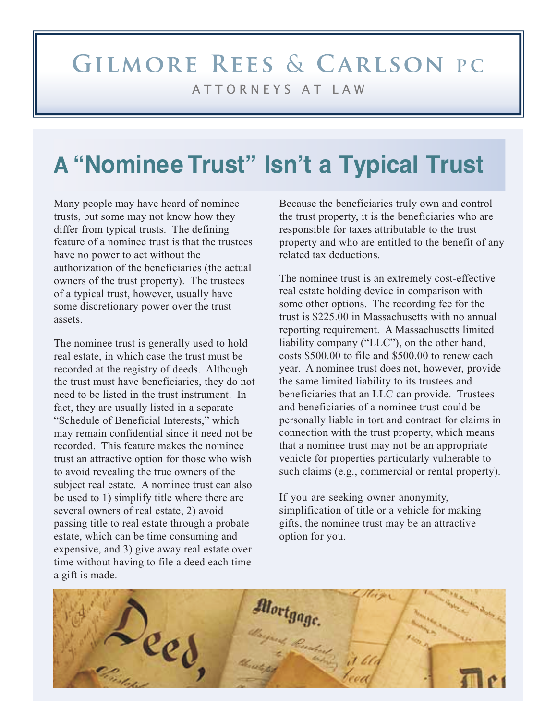# GILMORE REES & CARLSON PC ATTORNEYS AT LAW

# **A "Nominee Trust" Isn't a Typical Trust**

Many people may have heard of nominee trusts, but some may not know how they differ from typical trusts. The defining feature of a nominee trust is that the trustees have no power to act without the authorization of the beneficiaries (the actual owners of the trust property). The trustees of a typical trust, however, usually have some discretionary power over the trust assets.

The nominee trust is generally used to hold real estate, in which case the trust must be recorded at the registry of deeds. Although the trust must have beneficiaries, they do not need to be listed in the trust instrument. In fact, they are usually listed in a separate "Schedule of Beneficial Interests," which may remain confidential since it need not be recorded. This feature makes the nominee trust an attractive option for those who wish to avoid revealing the true owners of the subject real estate. A nominee trust can also be used to 1) simplify title where there are several owners of real estate, 2) avoid passing title to real estate through a probate estate, which can be time consuming and expensive, and 3) give away real estate over time without having to file a deed each time a gift is made.

Because the beneficiaries truly own and control the trust property, it is the beneficiaries who are responsible for taxes attributable to the trust property and who are entitled to the benefit of any related tax deductions.

The nominee trust is an extremely cost-effective real estate holding device in comparison with some other options. The recording fee for the trust is \$225.00 in Massachusetts with no annual reporting requirement. A Massachusetts limited liability company ("LLC"), on the other hand, costs \$500.00 to file and \$500.00 to renew each year. A nominee trust does not, however, provide the same limited liability to its trustees and beneficiaries that an LLC can provide. Trustees and beneficiaries of a nominee trust could be personally liable in tort and contract for claims in connection with the trust property, which means that a nominee trust may not be an appropriate vehicle for properties particularly vulnerable to such claims (e.g., commercial or rental property).

If you are seeking owner anonymity, simplification of title or a vehicle for making gifts, the nominee trust may be an attractive option for you.